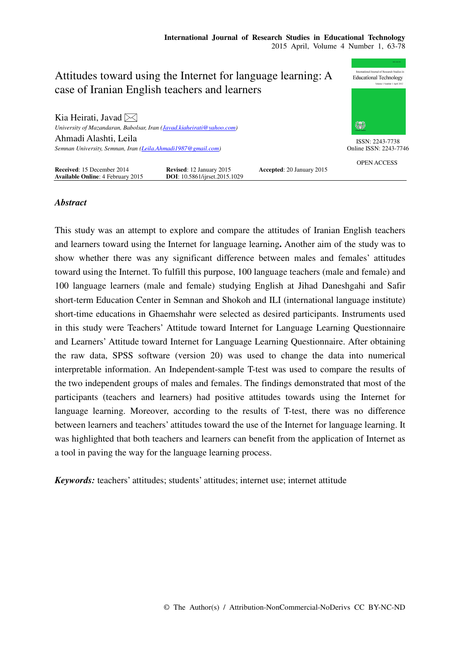

# *Abstract*

This study was an attempt to explore and compare the attitudes of Iranian English teachers and learners toward using the Internet for language learning**.** Another aim of the study was to show whether there was any significant difference between males and females' attitudes toward using the Internet. To fulfill this purpose, 100 language teachers (male and female) and 100 language learners (male and female) studying English at Jihad Daneshgahi and Safir short-term Education Center in Semnan and Shokoh and ILI (international language institute) short-time educations in Ghaemshahr were selected as desired participants. Instruments used in this study were Teachers' Attitude toward Internet for Language Learning Questionnaire and Learners' Attitude toward Internet for Language Learning Questionnaire. After obtaining the raw data, SPSS software (version 20) was used to change the data into numerical interpretable information. An Independent-sample T-test was used to compare the results of the two independent groups of males and females. The findings demonstrated that most of the participants (teachers and learners) had positive attitudes towards using the Internet for language learning. Moreover, according to the results of T-test, there was no difference between learners and teachers' attitudes toward the use of the Internet for language learning. It was highlighted that both teachers and learners can benefit from the application of Internet as a tool in paving the way for the language learning process.

*Keywords:* teachers' attitudes; students' attitudes; internet use; internet attitude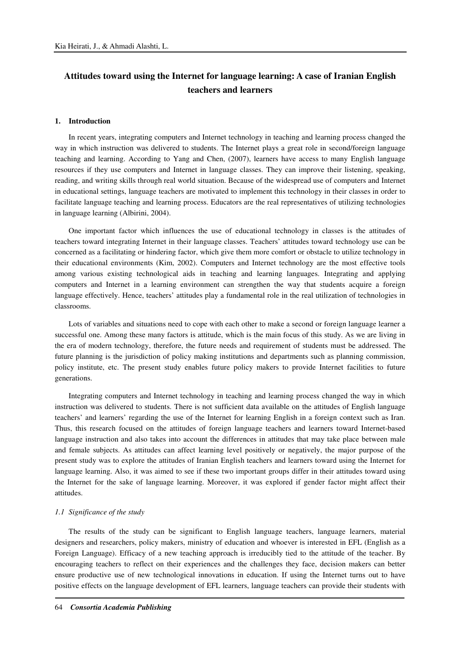# **Attitudes toward using the Internet for language learning: A case of Iranian English teachers and learners**

### **1. Introduction**

In recent years, integrating computers and Internet technology in teaching and learning process changed the way in which instruction was delivered to students. The Internet plays a great role in second/foreign language teaching and learning. According to Yang and Chen, (2007), learners have access to many English language resources if they use computers and Internet in language classes. They can improve their listening, speaking, reading, and writing skills through real world situation. Because of the widespread use of computers and Internet in educational settings, language teachers are motivated to implement this technology in their classes in order to facilitate language teaching and learning process. Educators are the real representatives of utilizing technologies in language learning (Albirini, 2004).

One important factor which influences the use of educational technology in classes is the attitudes of teachers toward integrating Internet in their language classes. Teachers' attitudes toward technology use can be concerned as a facilitating or hindering factor, which give them more comfort or obstacle to utilize technology in their educational environments (Kim, 2002). Computers and Internet technology are the most effective tools among various existing technological aids in teaching and learning languages. Integrating and applying computers and Internet in a learning environment can strengthen the way that students acquire a foreign language effectively. Hence, teachers' attitudes play a fundamental role in the real utilization of technologies in classrooms.

Lots of variables and situations need to cope with each other to make a second or foreign language learner a successful one. Among these many factors is attitude, which is the main focus of this study. As we are living in the era of modern technology, therefore, the future needs and requirement of students must be addressed. The future planning is the jurisdiction of policy making institutions and departments such as planning commission, policy institute, etc. The present study enables future policy makers to provide Internet facilities to future generations.

Integrating computers and Internet technology in teaching and learning process changed the way in which instruction was delivered to students. There is not sufficient data available on the attitudes of English language teachers' and learners' regarding the use of the Internet for learning English in a foreign context such as Iran. Thus, this research focused on the attitudes of foreign language teachers and learners toward Internet-based language instruction and also takes into account the differences in attitudes that may take place between male and female subjects. As attitudes can affect learning level positively or negatively, the major purpose of the present study was to explore the attitudes of Iranian English teachers and learners toward using the Internet for language learning. Also, it was aimed to see if these two important groups differ in their attitudes toward using the Internet for the sake of language learning. Moreover, it was explored if gender factor might affect their attitudes.

#### *1.1 Significance of the study*

The results of the study can be significant to English language teachers, language learners, material designers and researchers, policy makers, ministry of education and whoever is interested in EFL (English as a Foreign Language). Efficacy of a new teaching approach is irreducibly tied to the attitude of the teacher. By encouraging teachers to reflect on their experiences and the challenges they face, decision makers can better ensure productive use of new technological innovations in education. If using the Internet turns out to have positive effects on the language development of EFL learners, language teachers can provide their students with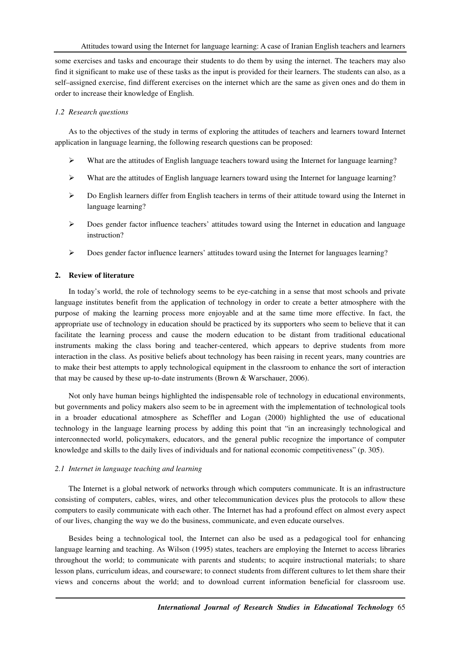some exercises and tasks and encourage their students to do them by using the internet. The teachers may also find it significant to make use of these tasks as the input is provided for their learners. The students can also, as a self–assigned exercise, find different exercises on the internet which are the same as given ones and do them in order to increase their knowledge of English.

### *1.2 Research questions*

As to the objectives of the study in terms of exploring the attitudes of teachers and learners toward Internet application in language learning, the following research questions can be proposed:

- $\triangleright$  What are the attitudes of English language teachers toward using the Internet for language learning?
- $\triangleright$  What are the attitudes of English language learners toward using the Internet for language learning?
- $\triangleright$  Do English learners differ from English teachers in terms of their attitude toward using the Internet in language learning?
- $\triangleright$  Does gender factor influence teachers' attitudes toward using the Internet in education and language instruction?
- $\triangleright$  Does gender factor influence learners' attitudes toward using the Internet for languages learning?

# **2. Review of literature**

In today's world, the role of technology seems to be eye-catching in a sense that most schools and private language institutes benefit from the application of technology in order to create a better atmosphere with the purpose of making the learning process more enjoyable and at the same time more effective. In fact, the appropriate use of technology in education should be practiced by its supporters who seem to believe that it can facilitate the learning process and cause the modern education to be distant from traditional educational instruments making the class boring and teacher-centered, which appears to deprive students from more interaction in the class. As positive beliefs about technology has been raising in recent years, many countries are to make their best attempts to apply technological equipment in the classroom to enhance the sort of interaction that may be caused by these up-to-date instruments (Brown & Warschauer, 2006).

Not only have human beings highlighted the indispensable role of technology in educational environments, but governments and policy makers also seem to be in agreement with the implementation of technological tools in a broader educational atmosphere as Scheffler and Logan (2000) highlighted the use of educational technology in the language learning process by adding this point that "in an increasingly technological and interconnected world, policymakers, educators, and the general public recognize the importance of computer knowledge and skills to the daily lives of individuals and for national economic competitiveness" (p. 305).

### *2.1 Internet in language teaching and learning*

The Internet is a global network of networks through which computers communicate. It is an infrastructure consisting of computers, cables, wires, and other telecommunication devices plus the protocols to allow these computers to easily communicate with each other. The Internet has had a profound effect on almost every aspect of our lives, changing the way we do the business, communicate, and even educate ourselves.

Besides being a technological tool, the Internet can also be used as a pedagogical tool for enhancing language learning and teaching. As Wilson (1995) states, teachers are employing the Internet to access libraries throughout the world; to communicate with parents and students; to acquire instructional materials; to share lesson plans, curriculum ideas, and courseware; to connect students from different cultures to let them share their views and concerns about the world; and to download current information beneficial for classroom use.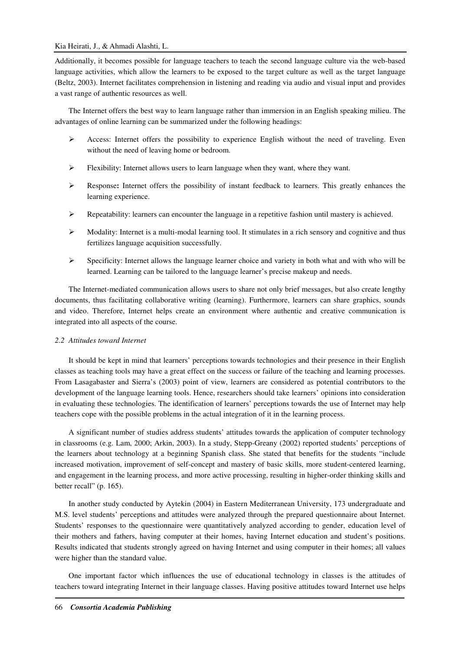Additionally, it becomes possible for language teachers to teach the second language culture via the web-based language activities, which allow the learners to be exposed to the target culture as well as the target language (Beltz, 2003). Internet facilitates comprehension in listening and reading via audio and visual input and provides a vast range of authentic resources as well.

The Internet offers the best way to learn language rather than immersion in an English speaking milieu. The advantages of online learning can be summarized under the following headings:

- Access: Internet offers the possibility to experience English without the need of traveling. Even without the need of leaving home or bedroom.
- $\triangleright$  Flexibility: Internet allows users to learn language when they want, where they want.
- Response**:** Internet offers the possibility of instant feedback to learners. This greatly enhances the learning experience.
- $\triangleright$  Repeatability: learners can encounter the language in a repetitive fashion until mastery is achieved.
- $\triangleright$  Modality: Internet is a multi-modal learning tool. It stimulates in a rich sensory and cognitive and thus fertilizes language acquisition successfully.
- $\triangleright$  Specificity: Internet allows the language learner choice and variety in both what and with who will be learned. Learning can be tailored to the language learner's precise makeup and needs.

The Internet-mediated communication allows users to share not only brief messages, but also create lengthy documents, thus facilitating collaborative writing (learning). Furthermore, learners can share graphics, sounds and video. Therefore, Internet helps create an environment where authentic and creative communication is integrated into all aspects of the course.

### *2.2 Attitudes toward Internet*

It should be kept in mind that learners' perceptions towards technologies and their presence in their English classes as teaching tools may have a great effect on the success or failure of the teaching and learning processes. From Lasagabaster and Sierra's (2003) point of view, learners are considered as potential contributors to the development of the language learning tools. Hence, researchers should take learners' opinions into consideration in evaluating these technologies. The identification of learners' perceptions towards the use of Internet may help teachers cope with the possible problems in the actual integration of it in the learning process.

A significant number of studies address students' attitudes towards the application of computer technology in classrooms (e.g. Lam, 2000; Arkin, 2003). In a study, Stepp-Greany (2002) reported students' perceptions of the learners about technology at a beginning Spanish class. She stated that benefits for the students "include increased motivation, improvement of self-concept and mastery of basic skills, more student-centered learning, and engagement in the learning process, and more active processing, resulting in higher-order thinking skills and better recall" (p. 165).

In another study conducted by Aytekin (2004) in Eastern Mediterranean University, 173 undergraduate and M.S. level students' perceptions and attitudes were analyzed through the prepared questionnaire about Internet. Students' responses to the questionnaire were quantitatively analyzed according to gender, education level of their mothers and fathers, having computer at their homes, having Internet education and student's positions. Results indicated that students strongly agreed on having Internet and using computer in their homes; all values were higher than the standard value.

One important factor which influences the use of educational technology in classes is the attitudes of teachers toward integrating Internet in their language classes. Having positive attitudes toward Internet use helps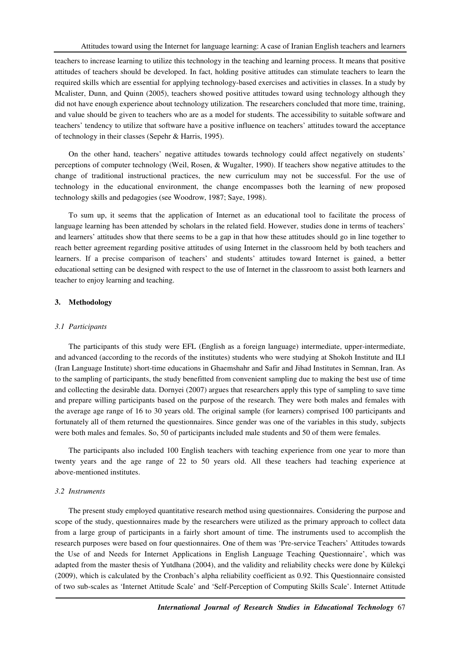teachers to increase learning to utilize this technology in the teaching and learning process. It means that positive attitudes of teachers should be developed. In fact, holding positive attitudes can stimulate teachers to learn the required skills which are essential for applying technology-based exercises and activities in classes. In a study by Mcalister, Dunn, and Quinn (2005), teachers showed positive attitudes toward using technology although they did not have enough experience about technology utilization. The researchers concluded that more time, training, and value should be given to teachers who are as a model for students. The accessibility to suitable software and teachers' tendency to utilize that software have a positive influence on teachers' attitudes toward the acceptance of technology in their classes (Sepehr & Harris, 1995).

On the other hand, teachers' negative attitudes towards technology could affect negatively on students' perceptions of computer technology (Weil, Rosen, & Wugalter, 1990). If teachers show negative attitudes to the change of traditional instructional practices, the new curriculum may not be successful. For the use of technology in the educational environment, the change encompasses both the learning of new proposed technology skills and pedagogies (see Woodrow, 1987; Saye, 1998).

To sum up, it seems that the application of Internet as an educational tool to facilitate the process of language learning has been attended by scholars in the related field. However, studies done in terms of teachers' and learners' attitudes show that there seems to be a gap in that how these attitudes should go in line together to reach better agreement regarding positive attitudes of using Internet in the classroom held by both teachers and learners. If a precise comparison of teachers' and students' attitudes toward Internet is gained, a better educational setting can be designed with respect to the use of Internet in the classroom to assist both learners and teacher to enjoy learning and teaching.

# **3. Methodology**

#### *3.1 Participants*

The participants of this study were EFL (English as a foreign language) intermediate, upper-intermediate, and advanced (according to the records of the institutes) students who were studying at Shokoh Institute and ILI (Iran Language Institute) short-time educations in Ghaemshahr and Safir and Jihad Institutes in Semnan, Iran. As to the sampling of participants, the study benefitted from convenient sampling due to making the best use of time and collecting the desirable data. Dornyei (2007) argues that researchers apply this type of sampling to save time and prepare willing participants based on the purpose of the research. They were both males and females with the average age range of 16 to 30 years old. The original sample (for learners) comprised 100 participants and fortunately all of them returned the questionnaires. Since gender was one of the variables in this study, subjects were both males and females. So, 50 of participants included male students and 50 of them were females.

The participants also included 100 English teachers with teaching experience from one year to more than twenty years and the age range of 22 to 50 years old. All these teachers had teaching experience at above-mentioned institutes.

#### *3.2 Instruments*

The present study employed quantitative research method using questionnaires. Considering the purpose and scope of the study, questionnaires made by the researchers were utilized as the primary approach to collect data from a large group of participants in a fairly short amount of time. The instruments used to accomplish the research purposes were based on four questionnaires. One of them was 'Pre-service Teachers' Attitudes towards the Use of and Needs for Internet Applications in English Language Teaching Questionnaire', which was adapted from the master thesis of Yutdhana (2004), and the validity and reliability checks were done by Külekçi (2009), which is calculated by the Cronbach's alpha reliability coefficient as 0.92. This Questionnaire consisted of two sub-scales as 'Internet Attitude Scale' and 'Self-Perception of Computing Skills Scale'. Internet Attitude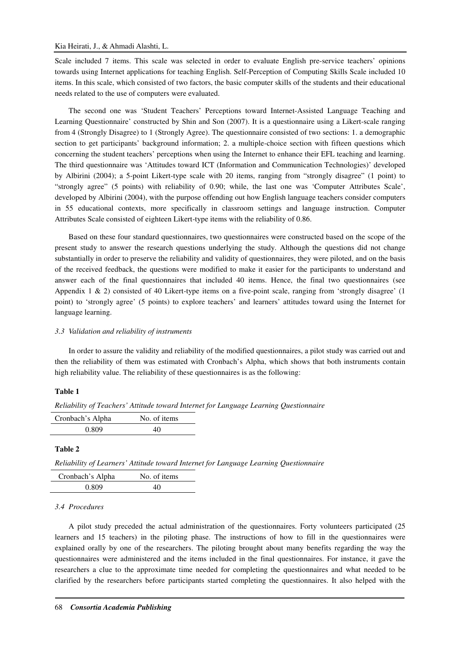Scale included 7 items. This scale was selected in order to evaluate English pre-service teachers' opinions towards using Internet applications for teaching English. Self-Perception of Computing Skills Scale included 10 items. In this scale, which consisted of two factors, the basic computer skills of the students and their educational needs related to the use of computers were evaluated.

The second one was 'Student Teachers' Perceptions toward Internet-Assisted Language Teaching and Learning Questionnaire' constructed by Shin and Son (2007). It is a questionnaire using a Likert-scale ranging from 4 (Strongly Disagree) to 1 (Strongly Agree). The questionnaire consisted of two sections: 1. a demographic section to get participants' background information; 2. a multiple-choice section with fifteen questions which concerning the student teachers' perceptions when using the Internet to enhance their EFL teaching and learning. The third questionnaire was 'Attitudes toward ICT (Information and Communication Technologies)' developed by Albirini (2004); a 5-point Likert-type scale with 20 items, ranging from "strongly disagree" (1 point) to "strongly agree" (5 points) with reliability of 0.90; while, the last one was 'Computer Attributes Scale', developed by Albirini (2004), with the purpose offending out how English language teachers consider computers in 55 educational contexts, more specifically in classroom settings and language instruction. Computer Attributes Scale consisted of eighteen Likert-type items with the reliability of 0.86.

Based on these four standard questionnaires, two questionnaires were constructed based on the scope of the present study to answer the research questions underlying the study. Although the questions did not change substantially in order to preserve the reliability and validity of questionnaires, they were piloted, and on the basis of the received feedback, the questions were modified to make it easier for the participants to understand and answer each of the final questionnaires that included 40 items. Hence, the final two questionnaires (see Appendix 1 & 2) consisted of 40 Likert-type items on a five-point scale, ranging from 'strongly disagree' (1 point) to 'strongly agree' (5 points) to explore teachers' and learners' attitudes toward using the Internet for language learning.

# *3.3 Validation and reliability of instruments*

In order to assure the validity and reliability of the modified questionnaires, a pilot study was carried out and then the reliability of them was estimated with Cronbach's Alpha, which shows that both instruments contain high reliability value. The reliability of these questionnaires is as the following:

# **Table 1**

| Reliability of Teachers' Attitude toward Internet for Language Learning Questionnaire |  |  |  |  |  |  |
|---------------------------------------------------------------------------------------|--|--|--|--|--|--|
|---------------------------------------------------------------------------------------|--|--|--|--|--|--|

| Cronbach's Alpha | No. of items |
|------------------|--------------|
| 0.809            | 40           |

## **Table 2**

*Reliability of Learners' Attitude toward Internet for Language Learning Questionnaire* 

| Cronbach's Alpha | No. of items |
|------------------|--------------|
| 0.809            | 40           |

# *3.4 Procedures*

A pilot study preceded the actual administration of the questionnaires. Forty volunteers participated (25 learners and 15 teachers) in the piloting phase. The instructions of how to fill in the questionnaires were explained orally by one of the researchers. The piloting brought about many benefits regarding the way the questionnaires were administered and the items included in the final questionnaires. For instance, it gave the researchers a clue to the approximate time needed for completing the questionnaires and what needed to be clarified by the researchers before participants started completing the questionnaires. It also helped with the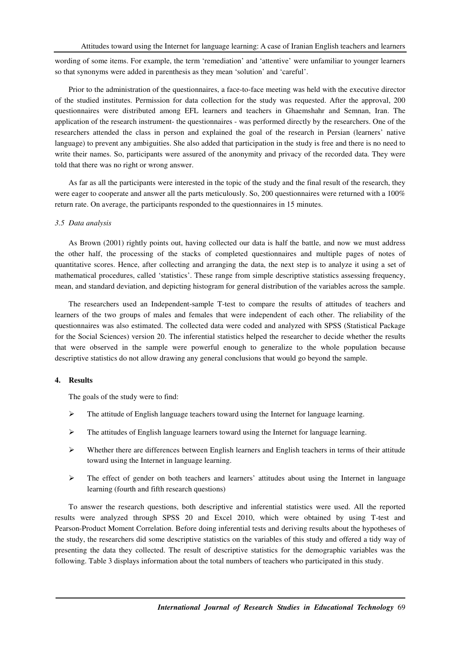wording of some items. For example, the term 'remediation' and 'attentive' were unfamiliar to younger learners so that synonyms were added in parenthesis as they mean 'solution' and 'careful'.

Prior to the administration of the questionnaires, a face-to-face meeting was held with the executive director of the studied institutes. Permission for data collection for the study was requested. After the approval, 200 questionnaires were distributed among EFL learners and teachers in Ghaemshahr and Semnan, Iran. The application of the research instrument- the questionnaires - was performed directly by the researchers. One of the researchers attended the class in person and explained the goal of the research in Persian (learners' native language) to prevent any ambiguities. She also added that participation in the study is free and there is no need to write their names. So, participants were assured of the anonymity and privacy of the recorded data. They were told that there was no right or wrong answer.

As far as all the participants were interested in the topic of the study and the final result of the research, they were eager to cooperate and answer all the parts meticulously. So, 200 questionnaires were returned with a 100% return rate. On average, the participants responded to the questionnaires in 15 minutes.

## *3.5 Data analysis*

As Brown (2001) rightly points out, having collected our data is half the battle, and now we must address the other half, the processing of the stacks of completed questionnaires and multiple pages of notes of quantitative scores. Hence, after collecting and arranging the data, the next step is to analyze it using a set of mathematical procedures, called 'statistics'. These range from simple descriptive statistics assessing frequency, mean, and standard deviation, and depicting histogram for general distribution of the variables across the sample.

The researchers used an Independent-sample T-test to compare the results of attitudes of teachers and learners of the two groups of males and females that were independent of each other. The reliability of the questionnaires was also estimated. The collected data were coded and analyzed with SPSS (Statistical Package for the Social Sciences) version 20. The inferential statistics helped the researcher to decide whether the results that were observed in the sample were powerful enough to generalize to the whole population because descriptive statistics do not allow drawing any general conclusions that would go beyond the sample.

#### **4. Results**

The goals of the study were to find:

- $\triangleright$  The attitude of English language teachers toward using the Internet for language learning.
- $\triangleright$  The attitudes of English language learners toward using the Internet for language learning.
- $\triangleright$  Whether there are differences between English learners and English teachers in terms of their attitude toward using the Internet in language learning.
- $\triangleright$  The effect of gender on both teachers and learners' attitudes about using the Internet in language learning (fourth and fifth research questions)

To answer the research questions, both descriptive and inferential statistics were used. All the reported results were analyzed through SPSS 20 and Excel 2010, which were obtained by using T-test and Pearson-Product Moment Correlation. Before doing inferential tests and deriving results about the hypotheses of the study, the researchers did some descriptive statistics on the variables of this study and offered a tidy way of presenting the data they collected. The result of descriptive statistics for the demographic variables was the following. Table 3 displays information about the total numbers of teachers who participated in this study.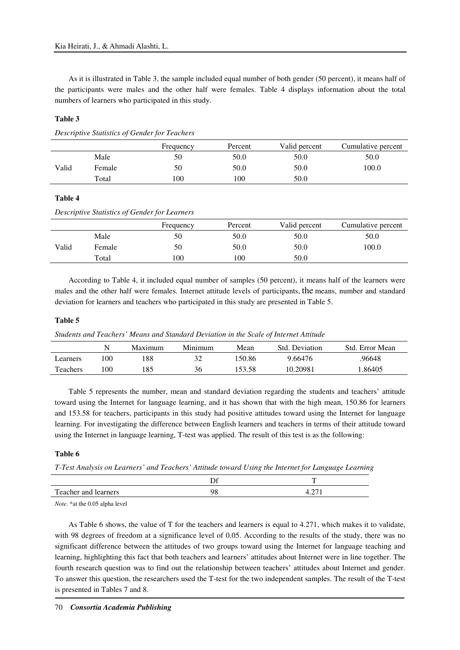As it is illustrated in Table 3, the sample included equal number of both gender (50 percent), it means half of the participants were males and the other half were females. Table 4 displays information about the total numbers of learners who participated in this study.

# **Table 3**

*Descriptive Statistics of Gender for Teachers* 

|       |        | Frequency | Percent | Valid percent | Cumulative percent |
|-------|--------|-----------|---------|---------------|--------------------|
|       | Male   | 50        | 50.0    | 50.0          | 50.0               |
| Valid | Female | 50        | 50.0    | 50.0          | 100.0              |
|       | Total  | 100       | 100     | 50.0          |                    |

# **Table 4**

*Descriptive Statistics of Gender for Learners* 

|       |        | Frequency | Percent | Valid percent | Cumulative percent |
|-------|--------|-----------|---------|---------------|--------------------|
|       | Male   | 50        | 50.0    | 50.0          | 50.0               |
| Valid | Female | 50        | 50.0    | 50.0          | 100.0              |
|       | Total  | 100       | 100     | 50.0          |                    |

According to Table 4, it included equal number of samples (50 percent), it means half of the learners were males and the other half were females. Internet attitude levels of participants, the means, number and standard deviation for learners and teachers who participated in this study are presented in Table 5.

### **Table 5**

*Students and Teachers' Means and Standard Deviation in the Scale of Internet Attitude* 

|          |     | Maximum | Minimum | Mean   | Std. Deviation | Std. Error Mean |
|----------|-----|---------|---------|--------|----------------|-----------------|
| Learners | 100 | 188     |         | 150.86 | 9.66476        | .96648          |
| Teachers | 100 | 185     | 36      | 153.58 | 10.20981       | 1.86405         |

Table 5 represents the number, mean and standard deviation regarding the students and teachers' attitude toward using the Internet for language learning, and it has shown that with the high mean, 150.86 for learners and 153.58 for teachers, participants in this study had positive attitudes toward using the Internet for language learning. For investigating the difference between English learners and teachers in terms of their attitude toward using the Internet in language learning, T-test was applied. The result of this test is as the following:

# **Table 6**

*T-Test Analysis on Learners' and Teachers' Attitude toward Using the Internet for Language Learning* 

|                      | — |
|----------------------|---|
| Teacher and learners |   |

*Note*. \*at the 0.05 alpha level

As Table 6 shows, the value of T for the teachers and learners is equal to 4.271, which makes it to validate, with 98 degrees of freedom at a significance level of 0.05. According to the results of the study, there was no significant difference between the attitudes of two groups toward using the Internet for language teaching and learning, highlighting this fact that both teachers and learners' attitudes about Internet were in line together. The fourth research question was to find out the relationship between teachers' attitudes about Internet and gender. To answer this question, the researchers used the T-test for the two independent samples. The result of the T-test is presented in Tables 7 and 8.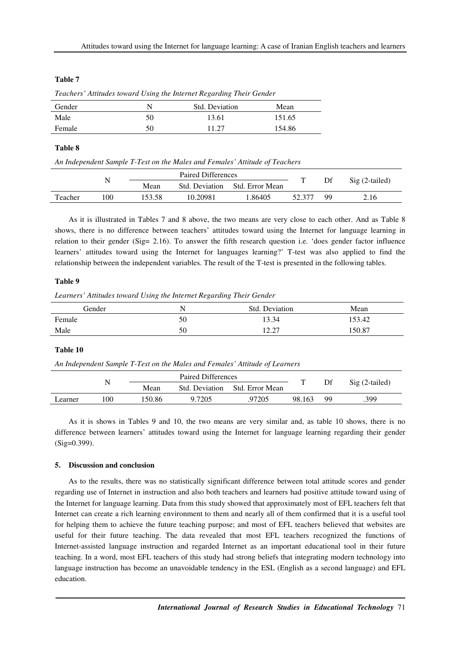# **Table 7**

|        | $\sim$ |                |        |  |
|--------|--------|----------------|--------|--|
| Gender |        | Std. Deviation | Mean   |  |
| Male   | 50     | 13.61          | 151.65 |  |
| Female | 50     | 11.27          | 154.86 |  |

*Teachers' Attitudes toward Using the Internet Regarding Their Gender* 

# **Table 8**

*An Independent Sample T-Test on the Males and Females' Attitude of Teachers* 

|         |     |        | Paired Differences |                 |        |           |                 |  |
|---------|-----|--------|--------------------|-----------------|--------|-----------|-----------------|--|
|         |     | Mean   | Std. Deviation     | Std. Error Mean |        |           | $Sig(2-tailed)$ |  |
| Teacher | .00 | 153.58 | 10.20981           | .86405          | 52.377 | <b>QQ</b> | 2.16            |  |

As it is illustrated in Tables 7 and 8 above, the two means are very close to each other. And as Table 8 shows, there is no difference between teachers' attitudes toward using the Internet for language learning in relation to their gender (Sig= 2.16). To answer the fifth research question i.e. 'does gender factor influence learners' attitudes toward using the Internet for languages learning?' T-test was also applied to find the relationship between the independent variables. The result of the T-test is presented in the following tables.

# **Table 9**

*Learners' Attitudes toward Using the Internet Regarding Their Gender* 

| Gender |    | Std.<br>. Deviation      | Mean   |
|--------|----|--------------------------|--------|
| Female | 50 | 13.34                    | 153.42 |
| Male   | 50 | 10.27<br>$1 \mathcal{L}$ | 150.87 |

# **Table 10**

*An Independent Sample T-Test on the Males and Females' Attitude of Learners* 

|         |      |       | <b>Paired Differences</b> |                 |        |     |                 |  |
|---------|------|-------|---------------------------|-----------------|--------|-----|-----------------|--|
|         |      | Mean  | Std. Deviation            | Std. Error Mean |        | Df  | $Sig(2-tailed)$ |  |
| Learner | l 00 | 50.86 | 9.7205                    | 97205           | 98.163 | QQ. | .399            |  |

As it is shows in Tables 9 and 10, the two means are very similar and, as table 10 shows, there is no difference between learners' attitudes toward using the Internet for language learning regarding their gender (Sig=0.399).

# **5. Discussion and conclusion**

As to the results, there was no statistically significant difference between total attitude scores and gender regarding use of Internet in instruction and also both teachers and learners had positive attitude toward using of the Internet for language learning. Data from this study showed that approximately most of EFL teachers felt that Internet can create a rich learning environment to them and nearly all of them confirmed that it is a useful tool for helping them to achieve the future teaching purpose; and most of EFL teachers believed that websites are useful for their future teaching. The data revealed that most EFL teachers recognized the functions of Internet-assisted language instruction and regarded Internet as an important educational tool in their future teaching. In a word, most EFL teachers of this study had strong beliefs that integrating modern technology into language instruction has become an unavoidable tendency in the ESL (English as a second language) and EFL education.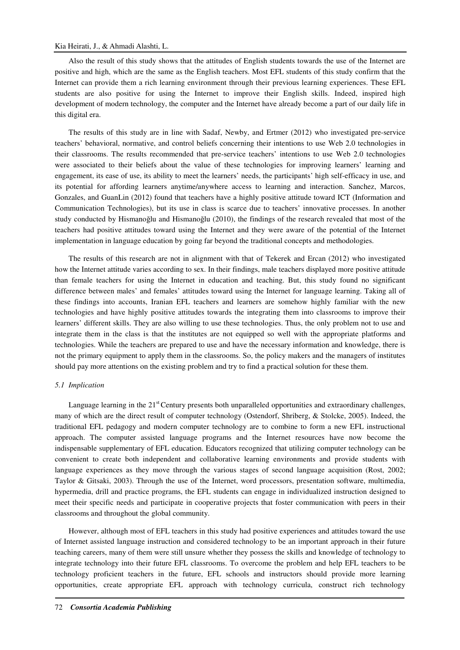# Kia Heirati, J., & Ahmadi Alashti, L.

Also the result of this study shows that the attitudes of English students towards the use of the Internet are positive and high, which are the same as the English teachers. Most EFL students of this study confirm that the Internet can provide them a rich learning environment through their previous learning experiences. These EFL students are also positive for using the Internet to improve their English skills. Indeed, inspired high development of modern technology, the computer and the Internet have already become a part of our daily life in this digital era.

The results of this study are in line with Sadaf, Newby, and Ertmer (2012) who investigated pre-service teachers' behavioral, normative, and control beliefs concerning their intentions to use Web 2.0 technologies in their classrooms. The results recommended that pre-service teachers' intentions to use Web 2.0 technologies were associated to their beliefs about the value of these technologies for improving learners' learning and engagement, its ease of use, its ability to meet the learners' needs, the participants' high self-efficacy in use, and its potential for affording learners anytime/anywhere access to learning and interaction. Sanchez, Marcos, Gonzales, and GuanLin (2012) found that teachers have a highly positive attitude toward ICT (Information and Communication Technologies), but its use in class is scarce due to teachers' innovative processes. In another study conducted by Hismanoğlu and Hismanoğlu (2010), the findings of the research revealed that most of the teachers had positive attitudes toward using the Internet and they were aware of the potential of the Internet implementation in language education by going far beyond the traditional concepts and methodologies.

The results of this research are not in alignment with that of Tekerek and Ercan (2012) who investigated how the Internet attitude varies according to sex. In their findings, male teachers displayed more positive attitude than female teachers for using the Internet in education and teaching. But, this study found no significant difference between males' and females' attitudes toward using the Internet for language learning. Taking all of these findings into accounts, Iranian EFL teachers and learners are somehow highly familiar with the new technologies and have highly positive attitudes towards the integrating them into classrooms to improve their learners' different skills. They are also willing to use these technologies. Thus, the only problem not to use and integrate them in the class is that the institutes are not equipped so well with the appropriate platforms and technologies. While the teachers are prepared to use and have the necessary information and knowledge, there is not the primary equipment to apply them in the classrooms. So, the policy makers and the managers of institutes should pay more attentions on the existing problem and try to find a practical solution for these them.

### *5.1 Implication*

Language learning in the  $21<sup>st</sup>$  Century presents both unparalleled opportunities and extraordinary challenges, many of which are the direct result of computer technology (Ostendorf, Shriberg, & Stolcke, 2005). Indeed, the traditional EFL pedagogy and modern computer technology are to combine to form a new EFL instructional approach. The computer assisted language programs and the Internet resources have now become the indispensable supplementary of EFL education. Educators recognized that utilizing computer technology can be convenient to create both independent and collaborative learning environments and provide students with language experiences as they move through the various stages of second language acquisition (Rost, 2002; Taylor & Gitsaki, 2003). Through the use of the Internet, word processors, presentation software, multimedia, hypermedia, drill and practice programs, the EFL students can engage in individualized instruction designed to meet their specific needs and participate in cooperative projects that foster communication with peers in their classrooms and throughout the global community.

However, although most of EFL teachers in this study had positive experiences and attitudes toward the use of Internet assisted language instruction and considered technology to be an important approach in their future teaching careers, many of them were still unsure whether they possess the skills and knowledge of technology to integrate technology into their future EFL classrooms. To overcome the problem and help EFL teachers to be technology proficient teachers in the future, EFL schools and instructors should provide more learning opportunities, create appropriate EFL approach with technology curricula, construct rich technology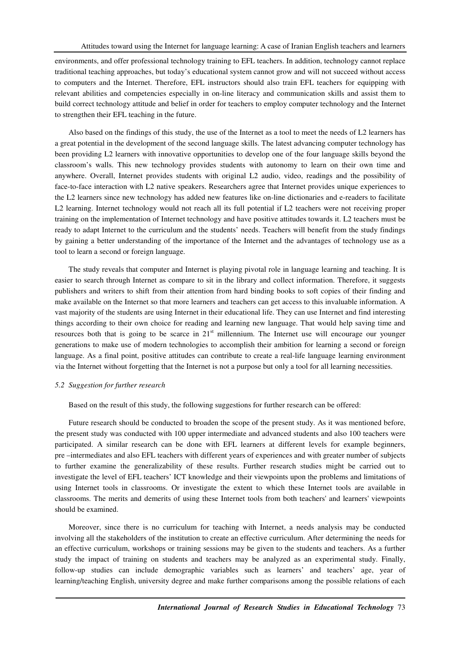environments, and offer professional technology training to EFL teachers. In addition, technology cannot replace traditional teaching approaches, but today's educational system cannot grow and will not succeed without access to computers and the Internet. Therefore, EFL instructors should also train EFL teachers for equipping with relevant abilities and competencies especially in on-line literacy and communication skills and assist them to build correct technology attitude and belief in order for teachers to employ computer technology and the Internet to strengthen their EFL teaching in the future.

Also based on the findings of this study, the use of the Internet as a tool to meet the needs of L2 learners has a great potential in the development of the second language skills. The latest advancing computer technology has been providing L2 learners with innovative opportunities to develop one of the four language skills beyond the classroom's walls. This new technology provides students with autonomy to learn on their own time and anywhere. Overall, Internet provides students with original L2 audio, video, readings and the possibility of face-to-face interaction with L2 native speakers. Researchers agree that Internet provides unique experiences to the L2 learners since new technology has added new features like on-line dictionaries and e-readers to facilitate L2 learning. Internet technology would not reach all its full potential if L2 teachers were not receiving proper training on the implementation of Internet technology and have positive attitudes towards it. L2 teachers must be ready to adapt Internet to the curriculum and the students' needs. Teachers will benefit from the study findings by gaining a better understanding of the importance of the Internet and the advantages of technology use as a tool to learn a second or foreign language.

The study reveals that computer and Internet is playing pivotal role in language learning and teaching. It is easier to search through Internet as compare to sit in the library and collect information. Therefore, it suggests publishers and writers to shift from their attention from hard binding books to soft copies of their finding and make available on the Internet so that more learners and teachers can get access to this invaluable information. A vast majority of the students are using Internet in their educational life. They can use Internet and find interesting things according to their own choice for reading and learning new language. That would help saving time and resources both that is going to be scarce in 21<sup>st</sup> millennium. The Internet use will encourage our younger generations to make use of modern technologies to accomplish their ambition for learning a second or foreign language. As a final point, positive attitudes can contribute to create a real-life language learning environment via the Internet without forgetting that the Internet is not a purpose but only a tool for all learning necessities.

### *5.2 Suggestion for further research*

Based on the result of this study, the following suggestions for further research can be offered:

Future research should be conducted to broaden the scope of the present study. As it was mentioned before, the present study was conducted with 100 upper intermediate and advanced students and also 100 teachers were participated. A similar research can be done with EFL learners at different levels for example beginners, pre –intermediates and also EFL teachers with different years of experiences and with greater number of subjects to further examine the generalizability of these results. Further research studies might be carried out to investigate the level of EFL teachers' ICT knowledge and their viewpoints upon the problems and limitations of using Internet tools in classrooms. Or investigate the extent to which these Internet tools are available in classrooms. The merits and demerits of using these Internet tools from both teachers' and learners' viewpoints should be examined.

Moreover, since there is no curriculum for teaching with Internet, a needs analysis may be conducted involving all the stakeholders of the institution to create an effective curriculum. After determining the needs for an effective curriculum, workshops or training sessions may be given to the students and teachers. As a further study the impact of training on students and teachers may be analyzed as an experimental study. Finally, follow-up studies can include demographic variables such as learners' and teachers' age, year of learning/teaching English, university degree and make further comparisons among the possible relations of each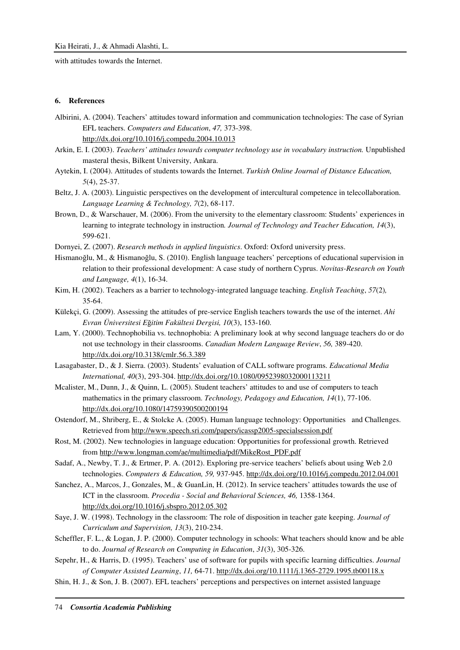with attitudes towards the Internet.

# **6. References**

- Albirini, A. (2004). Teachers' attitudes toward information and communication technologies: The case of Syrian EFL teachers. *Computers and Education*, *47,* 373-398. http://dx.doi.org/10.1016/j.compedu.2004.10.013
- Arkin, E. I. (2003). *Teachers' attitudes towards computer technology use in vocabulary instruction.* Unpublished masteral thesis, Bilkent University, Ankara.
- Aytekin, I. (2004). Attitudes of students towards the Internet. *Turkish Online Journal of Distance Education, 5*(4), 25-37.
- Beltz, J. A. (2003). Linguistic perspectives on the development of intercultural competence in telecollaboration. *Language Learning & Technology, 7*(2), 68-117.
- Brown, D., & Warschauer, M. (2006). From the university to the elementary classroom: Students' experiences in learning to integrate technology in instruction*. Journal of Technology and Teacher Education, 14*(3), 599-621.
- Dornyei, Z. (2007). *Research methods in applied linguistics*. Oxford: Oxford university press.
- Hismanoğlu, M., & Hismanoğlu, S. (2010). English language teachers' perceptions of educational supervision in relation to their professional development: A case study of northern Cyprus. *Novitas-Research on Youth and Language, 4*(1), 16-34.
- Kim, H. (2002). Teachers as a barrier to technology-integrated language teaching. *English Teaching*, *57*(2)*,*  35-64.
- Külekçi, G. (2009). Assessing the attitudes of pre-service English teachers towards the use of the internet. *Ahi Evran Üniversitesi E*ğ*itim Fakültesi Dergisi, 10*(3), 153-160.
- Lam, Y. (2000). Technophobilia vs. technophobia: A preliminary look at why second language teachers do or do not use technology in their classrooms. *Canadian Modern Language Review*, *56,* 389-420. http://dx.doi.org/10.3138/cmlr.56.3.389
- Lasagabaster, D., & J. Sierra. (2003). Students' evaluation of CALL software programs. *Educational Media International, 40*(3), 293-304. http://dx.doi.org/10.1080/0952398032000113211
- Mcalister, M., Dunn, J., & Quinn, L. (2005). Student teachers' attitudes to and use of computers to teach mathematics in the primary classroom. *Technology, Pedagogy and Education, 14*(1), 77-106. http://dx.doi.org/10.1080/14759390500200194
- Ostendorf, M., Shriberg, E., & Stolcke A. (2005). Human language technology: Opportunities and Challenges. Retrieved from http://www.speech.sri.com/papers/icassp2005-specialsession.pdf
- Rost, M. (2002). New technologies in language education: Opportunities for professional growth. Retrieved from http://www.longman.com/ae/multimedia/pdf/MikeRost\_PDF.pdf
- Sadaf, A., Newby, T. J., & Ertmer, P. A. (2012). Exploring pre-service teachers' beliefs about using Web 2.0 technologies. *Computers & Education, 59,* 937-945. http://dx.doi.org/10.1016/j.compedu.2012.04.001
- Sanchez, A., Marcos, J., Gonzales, M., & GuanLin, H. (2012). In service teachers' attitudes towards the use of ICT in the classroom. *Procedia - Social and Behavioral Sciences, 46,* 1358-1364. http://dx.doi.org/10.1016/j.sbspro.2012.05.302
- Saye, J. W. (1998). Technology in the classroom: The role of disposition in teacher gate keeping. *Journal of Curriculum and Supervision, 13*(3), 210-234.
- Scheffler, F. L., & Logan, J. P. (2000). Computer technology in schools: What teachers should know and be able to do. *Journal of Research on Computing in Education*, *31*(3), 305-326.
- Sepehr, H., & Harris, D. (1995). Teachers' use of software for pupils with specific learning difficulties. *Journal of Computer Assisted Learning*, *11,* 64-71. http://dx.doi.org/10.1111/j.1365-2729.1995.tb00118.x
- Shin, H. J., & Son, J. B. (2007). EFL teachers' perceptions and perspectives on internet assisted language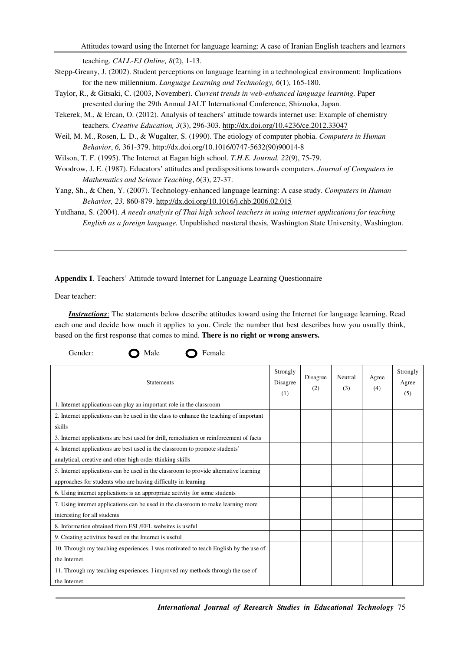Attitudes toward using the Internet for language learning: A case of Iranian English teachers and learners

teaching. *CALL-EJ Online, 8*(2), 1-13.

- Stepp-Greany, J. (2002). Student perceptions on language learning in a technological environment: Implications for the new millennium. *Language Learning and Technology, 6*(1), 165-180.
- Taylor, R., & Gitsaki, C. (2003, November). *Current trends in web-enhanced language learning.* Paper presented during the 29th Annual JALT International Conference, Shizuoka, Japan.
- Tekerek, M., & Ercan, O. (2012). Analysis of teachers' attitude towards internet use: Example of chemistry teachers. *Creative Education, 3*(3), 296-303. http://dx.doi.org/10.4236/ce.2012.33047
- Weil, M. M., Rosen, L. D., & Wugalter, S. (1990). The etiology of computer phobia. *Computers in Human Behavior*, *6,* 361-379. http://dx.doi.org/10.1016/0747-5632(90)90014-8
- Wilson, T. F. (1995). The Internet at Eagan high school. *T.H.E. Journal, 22*(9), 75-79.
- Woodrow, J. E. (1987). Educators' attitudes and predispositions towards computers. *Journal of Computers in Mathematics and Science Teaching*, *6*(3), 27-37.
- Yang, Sh., & Chen, Y. (2007). Technology-enhanced language learning: A case study. *Computers in Human Behavior, 23,* 860-879. http://dx.doi.org/10.1016/j.chb.2006.02.015

Yutdhana, S. (2004). *A needs analysis of Thai high school teachers in using internet applications for teaching English as a foreign language.* Unpublished masteral thesis, Washington State University, Washington.

**Appendix 1**. Teachers' Attitude toward Internet for Language Learning Questionnaire

Gender: **O** Male **O** Female

Dear teacher:

*Instructions*: The statements below describe attitudes toward using the Internet for language learning. Read each one and decide how much it applies to you. Circle the number that best describes how you usually think, based on the first response that comes to mind. **There is no right or wrong answers.** 

| <b>Statements</b>                                                                                                                                      | Strongly<br>Disagree<br>(1) | Disagree<br>(2) | Neutral<br>(3) | Agree<br>(4) | Strongly<br>Agree<br>(5) |
|--------------------------------------------------------------------------------------------------------------------------------------------------------|-----------------------------|-----------------|----------------|--------------|--------------------------|
| 1. Internet applications can play an important role in the classroom                                                                                   |                             |                 |                |              |                          |
| 2. Internet applications can be used in the class to enhance the teaching of important<br>skills                                                       |                             |                 |                |              |                          |
| 3. Internet applications are best used for drill, remediation or reinforcement of facts                                                                |                             |                 |                |              |                          |
| 4. Internet applications are best used in the classroom to promote students'<br>analytical, creative and other high order thinking skills              |                             |                 |                |              |                          |
| 5. Internet applications can be used in the classroom to provide alternative learning<br>approaches for students who are having difficulty in learning |                             |                 |                |              |                          |
| 6. Using internet applications is an appropriate activity for some students                                                                            |                             |                 |                |              |                          |
| 7. Using internet applications can be used in the classroom to make learning more<br>interesting for all students                                      |                             |                 |                |              |                          |
| 8. Information obtained from ESL/EFL websites is useful                                                                                                |                             |                 |                |              |                          |
| 9. Creating activities based on the Internet is useful                                                                                                 |                             |                 |                |              |                          |
| 10. Through my teaching experiences, I was motivated to teach English by the use of<br>the Internet.                                                   |                             |                 |                |              |                          |
| 11. Through my teaching experiences, I improved my methods through the use of<br>the Internet.                                                         |                             |                 |                |              |                          |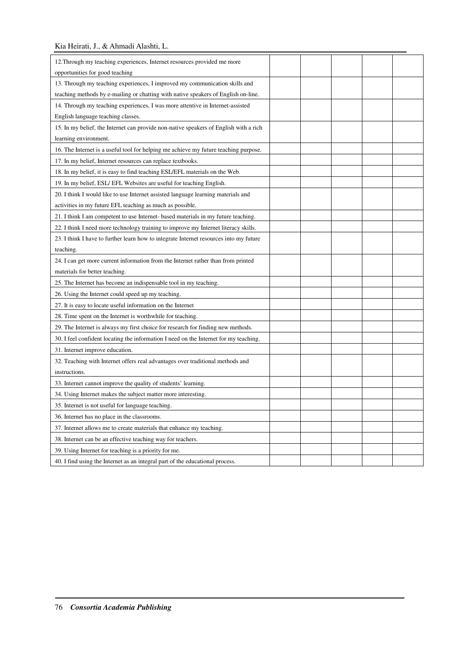| 12. Through my teaching experiences, Internet resources provided me more               |  |  |  |
|----------------------------------------------------------------------------------------|--|--|--|
| opportunities for good teaching                                                        |  |  |  |
| 13. Through my teaching experiences, I improved my communication skills and            |  |  |  |
| teaching methods by e-mailing or chatting with native speakers of English on-line.     |  |  |  |
| 14. Through my teaching experiences, I was more attentive in Internet-assisted         |  |  |  |
| English language teaching classes.                                                     |  |  |  |
| 15. In my belief, the Internet can provide non-native speakers of English with a rich  |  |  |  |
| learning environment.                                                                  |  |  |  |
| 16. The Internet is a useful tool for helping me achieve my future teaching purpose.   |  |  |  |
| 17. In my belief, Internet resources can replace textbooks.                            |  |  |  |
| 18. In my belief, it is easy to find teaching ESL/EFL materials on the Web.            |  |  |  |
| 19. In my belief, ESL/ EFL Websites are useful for teaching English.                   |  |  |  |
| 20. I think I would like to use Internet assisted language learning materials and      |  |  |  |
| activities in my future EFL teaching as much as possible.                              |  |  |  |
| 21. I think I am competent to use Internet-based materials in my future teaching.      |  |  |  |
| 22. I think I need more technology training to improve my Internet literacy skills.    |  |  |  |
| 23. I think I have to further learn how to integrate Internet resources into my future |  |  |  |
| teaching.                                                                              |  |  |  |
| 24. I can get more current information from the Internet rather than from printed      |  |  |  |
| materials for better teaching.                                                         |  |  |  |
| 25. The Internet has become an indispensable tool in my teaching.                      |  |  |  |
| 26. Using the Internet could speed up my teaching.                                     |  |  |  |
| 27. It is easy to locate useful information on the Internet                            |  |  |  |
| 28. Time spent on the Internet is worthwhile for teaching.                             |  |  |  |
| 29. The Internet is always my first choice for research for finding new methods.       |  |  |  |
| 30. I feel confident locating the information I need on the Internet for my teaching.  |  |  |  |
| 31. Internet improve education.                                                        |  |  |  |
| 32. Teaching with Internet offers real advantages over traditional methods and         |  |  |  |
| instructions.                                                                          |  |  |  |
| 33. Internet cannot improve the quality of students' learning.                         |  |  |  |
| 34. Using Internet makes the subject matter more interesting.                          |  |  |  |
| 35. Internet is not useful for language teaching.                                      |  |  |  |
| 36. Internet has no place in the classrooms.                                           |  |  |  |
| 37. Internet allows me to create materials that enhance my teaching.                   |  |  |  |
| 38. Internet can be an effective teaching way for teachers.                            |  |  |  |
| 39. Using Internet for teaching is a priority for me.                                  |  |  |  |
| 40. I find using the Internet as an integral part of the educational process.          |  |  |  |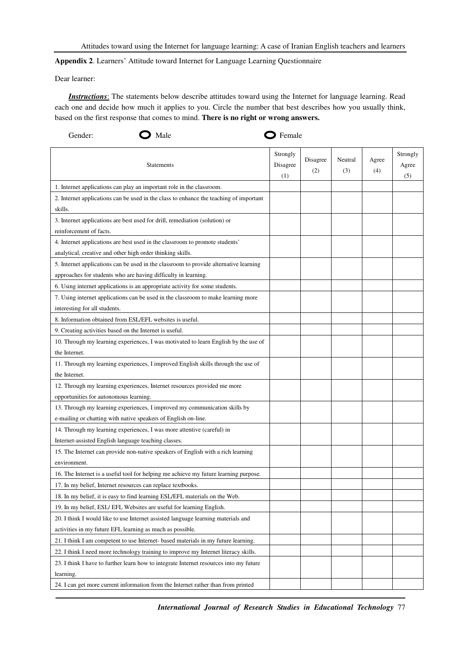**Appendix 2**. Learners' Attitude toward Internet for Language Learning Questionnaire

Dear learner:

*Instructions*: The statements below describe attitudes toward using the Internet for language learning. Read each one and decide how much it applies to you. Circle the number that best describes how you usually think, based on the first response that comes to mind. **There is no right or wrong answers.** 

| Gender:<br>Male                                                                        | $\sum$ Female               |                 |                |              |                          |
|----------------------------------------------------------------------------------------|-----------------------------|-----------------|----------------|--------------|--------------------------|
| <b>Statements</b>                                                                      | Strongly<br>Disagree<br>(1) | Disagree<br>(2) | Neutral<br>(3) | Agree<br>(4) | Strongly<br>Agree<br>(5) |
| 1. Internet applications can play an important role in the classroom.                  |                             |                 |                |              |                          |
| 2. Internet applications can be used in the class to enhance the teaching of important |                             |                 |                |              |                          |
| skills.                                                                                |                             |                 |                |              |                          |
| 3. Internet applications are best used for drill, remediation (solution) or            |                             |                 |                |              |                          |
| reinforcement of facts.                                                                |                             |                 |                |              |                          |
| 4. Internet applications are best used in the classroom to promote students'           |                             |                 |                |              |                          |
| analytical, creative and other high order thinking skills.                             |                             |                 |                |              |                          |
| 5. Internet applications can be used in the classroom to provide alternative learning  |                             |                 |                |              |                          |
| approaches for students who are having difficulty in learning.                         |                             |                 |                |              |                          |
| 6. Using internet applications is an appropriate activity for some students.           |                             |                 |                |              |                          |
| 7. Using internet applications can be used in the classroom to make learning more      |                             |                 |                |              |                          |
| interesting for all students.                                                          |                             |                 |                |              |                          |
| 8. Information obtained from ESL/EFL websites is useful.                               |                             |                 |                |              |                          |
| 9. Creating activities based on the Internet is useful.                                |                             |                 |                |              |                          |
| 10. Through my learning experiences, I was motivated to learn English by the use of    |                             |                 |                |              |                          |
| the Internet.                                                                          |                             |                 |                |              |                          |
| 11. Through my learning experiences, I improved English skills through the use of      |                             |                 |                |              |                          |
| the Internet.                                                                          |                             |                 |                |              |                          |
| 12. Through my learning experiences, Internet resources provided me more               |                             |                 |                |              |                          |
| opportunities for autonomous learning.                                                 |                             |                 |                |              |                          |
| 13. Through my learning experiences, I improved my communication skills by             |                             |                 |                |              |                          |
| e-mailing or chatting with native speakers of English on-line.                         |                             |                 |                |              |                          |
| 14. Through my learning experiences, I was more attentive (careful) in                 |                             |                 |                |              |                          |
| Internet-assisted English language teaching classes.                                   |                             |                 |                |              |                          |
| 15. The Internet can provide non-native speakers of English with a rich learning       |                             |                 |                |              |                          |
| environment.                                                                           |                             |                 |                |              |                          |
| 16. The Internet is a useful tool for helping me achieve my future learning purpose.   |                             |                 |                |              |                          |
| 17. In my belief, Internet resources can replace textbooks.                            |                             |                 |                |              |                          |
| 18. In my belief, it is easy to find learning ESL/EFL materials on the Web.            |                             |                 |                |              |                          |
| 19. In my belief, ESL/ EFL Websites are useful for learning English.                   |                             |                 |                |              |                          |
| 20. I think I would like to use Internet assisted language learning materials and      |                             |                 |                |              |                          |
| activities in my future EFL learning as much as possible.                              |                             |                 |                |              |                          |
| 21. I think I am competent to use Internet- based materials in my future learning.     |                             |                 |                |              |                          |
| 22. I think I need more technology training to improve my Internet literacy skills.    |                             |                 |                |              |                          |
| 23. I think I have to further learn how to integrate Internet resources into my future |                             |                 |                |              |                          |
| learning.                                                                              |                             |                 |                |              |                          |
| 24. I can get more current information from the Internet rather than from printed      |                             |                 |                |              |                          |